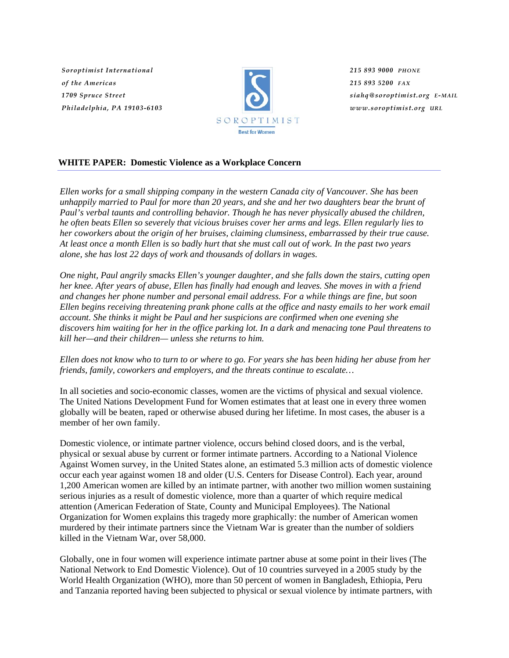*Soroptimist International of the Americas 1709 Spruce Street Philadelphia, PA 19103-6103*



*215 893 9000 PHONE 215 893 5200 FAX siahq@soroptimist.org E-MAIL www.soroptimist.org URL*

# **WHITE PAPER: Domestic Violence as a Workplace Concern**

*Ellen works for a small shipping company in the western Canada city of Vancouver. She has been unhappily married to Paul for more than 20 years, and she and her two daughters bear the brunt of Paul's verbal taunts and controlling behavior. Though he has never physically abused the children, he often beats Ellen so severely that vicious bruises cover her arms and legs. Ellen regularly lies to her coworkers about the origin of her bruises, claiming clumsiness, embarrassed by their true cause. At least once a month Ellen is so badly hurt that she must call out of work. In the past two years alone, she has lost 22 days of work and thousands of dollars in wages.* 

*One night, Paul angrily smacks Ellen's younger daughter, and she falls down the stairs, cutting open her knee. After years of abuse, Ellen has finally had enough and leaves. She moves in with a friend and changes her phone number and personal email address. For a while things are fine, but soon Ellen begins receiving threatening prank phone calls at the office and nasty emails to her work email account. She thinks it might be Paul and her suspicions are confirmed when one evening she discovers him waiting for her in the office parking lot. In a dark and menacing tone Paul threatens to kill her—and their children— unless she returns to him.* 

*Ellen does not know who to turn to or where to go. For years she has been hiding her abuse from her friends, family, coworkers and employers, and the threats continue to escalate…* 

In all societies and socio-economic classes, women are the victims of physical and sexual violence. The United Nations Development Fund for Women estimates that at least one in every three women globally will be beaten, raped or otherwise abused during her lifetime. In most cases, the abuser is a member of her own family.

Domestic violence, or intimate partner violence, occurs behind closed doors, and is the verbal, physical or sexual abuse by current or former intimate partners. According to a National Violence Against Women survey, in the United States alone, an estimated 5.3 million acts of domestic violence occur each year against women 18 and older (U.S. Centers for Disease Control). Each year, around 1,200 American women are killed by an intimate partner, with another two million women sustaining serious injuries as a result of domestic violence, more than a quarter of which require medical attention (American Federation of State, County and Municipal Employees). The National Organization for Women explains this tragedy more graphically: the number of American women murdered by their intimate partners since the Vietnam War is greater than the number of soldiers killed in the Vietnam War, over 58,000.

Globally, one in four women will experience intimate partner abuse at some point in their lives (The National Network to End Domestic Violence). Out of 10 countries surveyed in a 2005 study by the World Health Organization (WHO), more than 50 percent of women in Bangladesh, Ethiopia, Peru and Tanzania reported having been subjected to physical or sexual violence by intimate partners, with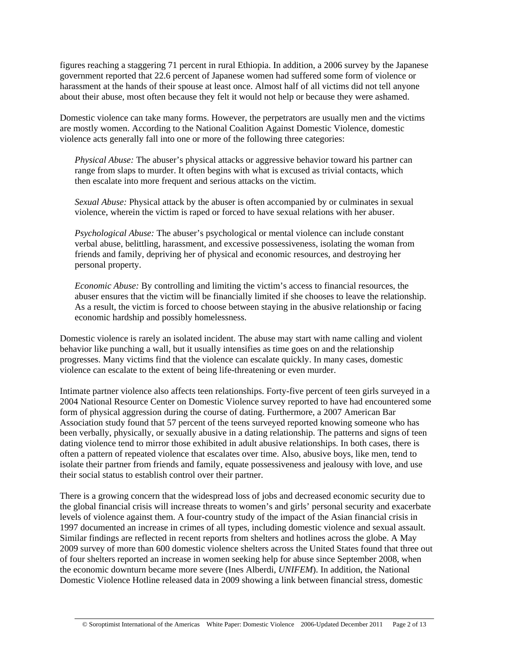figures reaching a staggering 71 percent in rural Ethiopia. In addition, a 2006 survey by the Japanese government reported that 22.6 percent of Japanese women had suffered some form of violence or harassment at the hands of their spouse at least once. Almost half of all victims did not tell anyone about their abuse, most often because they felt it would not help or because they were ashamed.

Domestic violence can take many forms. However, the perpetrators are usually men and the victims are mostly women. According to the National Coalition Against Domestic Violence, domestic violence acts generally fall into one or more of the following three categories:

 *Physical Abuse:* The abuser's physical attacks or aggressive behavior toward his partner can range from slaps to murder. It often begins with what is excused as trivial contacts, which then escalate into more frequent and serious attacks on the victim.

 *Sexual Abuse:* Physical attack by the abuser is often accompanied by or culminates in sexual violence, wherein the victim is raped or forced to have sexual relations with her abuser.

 *Psychological Abuse:* The abuser's psychological or mental violence can include constant verbal abuse, belittling, harassment, and excessive possessiveness, isolating the woman from friends and family, depriving her of physical and economic resources, and destroying her personal property.

*Economic Abuse:* By controlling and limiting the victim's access to financial resources, the abuser ensures that the victim will be financially limited if she chooses to leave the relationship. As a result, the victim is forced to choose between staying in the abusive relationship or facing economic hardship and possibly homelessness.

Domestic violence is rarely an isolated incident. The abuse may start with name calling and violent behavior like punching a wall, but it usually intensifies as time goes on and the relationship progresses. Many victims find that the violence can escalate quickly. In many cases, domestic violence can escalate to the extent of being life-threatening or even murder.

Intimate partner violence also affects teen relationships. Forty-five percent of teen girls surveyed in a 2004 National Resource Center on Domestic Violence survey reported to have had encountered some form of physical aggression during the course of dating. Furthermore, a 2007 American Bar Association study found that 57 percent of the teens surveyed reported knowing someone who has been verbally, physically, or sexually abusive in a dating relationship. The patterns and signs of teen dating violence tend to mirror those exhibited in adult abusive relationships. In both cases, there is often a pattern of repeated violence that escalates over time. Also, abusive boys, like men, tend to isolate their partner from friends and family, equate possessiveness and jealousy with love, and use their social status to establish control over their partner.

There is a growing concern that the widespread loss of jobs and decreased economic security due to the global financial crisis will increase threats to women's and girls' personal security and exacerbate levels of violence against them. A four-country study of the impact of the Asian financial crisis in 1997 documented an increase in crimes of all types, including domestic violence and sexual assault. Similar findings are reflected in recent reports from shelters and hotlines across the globe. A May 2009 survey of more than 600 domestic violence shelters across the United States found that three out of four shelters reported an increase in women seeking help for abuse since September 2008, when the economic downturn became more severe (Ines Alberdi, *UNIFEM*). In addition, the National Domestic Violence Hotline released data in 2009 showing a link between financial stress, domestic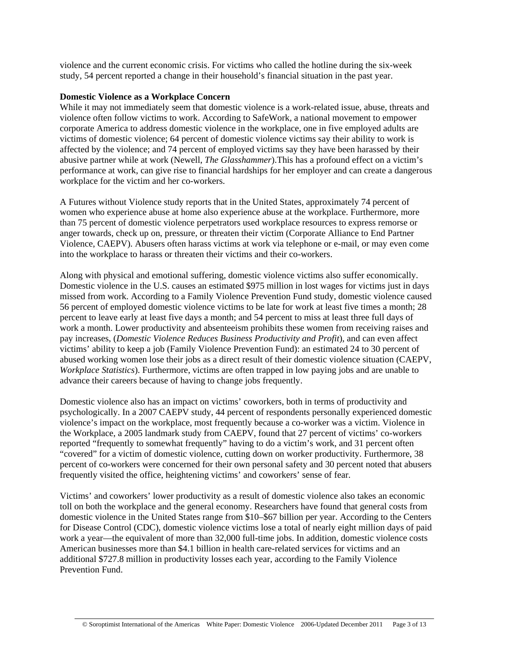violence and the current economic crisis. For victims who called the hotline during the six-week study, 54 percent reported a change in their household's financial situation in the past year.

#### **Domestic Violence as a Workplace Concern**

While it may not immediately seem that domestic violence is a work-related issue, abuse, threats and violence often follow victims to work. According to SafeWork, a national movement to empower corporate America to address domestic violence in the workplace, one in five employed adults are victims of domestic violence; 64 percent of domestic violence victims say their ability to work is affected by the violence; and 74 percent of employed victims say they have been harassed by their abusive partner while at work (Newell, *The Glasshammer*).This has a profound effect on a victim's performance at work, can give rise to financial hardships for her employer and can create a dangerous workplace for the victim and her co-workers.

A Futures without Violence study reports that in the United States, approximately 74 percent of women who experience abuse at home also experience abuse at the workplace. Furthermore, more than 75 percent of domestic violence perpetrators used workplace resources to express remorse or anger towards, check up on, pressure, or threaten their victim (Corporate Alliance to End Partner Violence, CAEPV). Abusers often harass victims at work via telephone or e-mail, or may even come into the workplace to harass or threaten their victims and their co-workers.

Along with physical and emotional suffering, domestic violence victims also suffer economically. Domestic violence in the U.S. causes an estimated \$975 million in lost wages for victims just in days missed from work. According to a Family Violence Prevention Fund study, domestic violence caused 56 percent of employed domestic violence victims to be late for work at least five times a month; 28 percent to leave early at least five days a month; and 54 percent to miss at least three full days of work a month. Lower productivity and absenteeism prohibits these women from receiving raises and pay increases, (*Domestic Violence Reduces Business Productivity and Profit*), and can even affect victims' ability to keep a job (Family Violence Prevention Fund): an estimated 24 to 30 percent of abused working women lose their jobs as a direct result of their domestic violence situation (CAEPV, *Workplace Statistics*). Furthermore, victims are often trapped in low paying jobs and are unable to advance their careers because of having to change jobs frequently.

Domestic violence also has an impact on victims' coworkers, both in terms of productivity and psychologically. In a 2007 CAEPV study, 44 percent of respondents personally experienced domestic violence's impact on the workplace, most frequently because a co-worker was a victim. Violence in the Workplace, a 2005 landmark study from CAEPV, found that 27 percent of victims' co-workers reported "frequently to somewhat frequently" having to do a victim's work, and 31 percent often "covered" for a victim of domestic violence, cutting down on worker productivity. Furthermore, 38 percent of co-workers were concerned for their own personal safety and 30 percent noted that abusers frequently visited the office, heightening victims' and coworkers' sense of fear.

Victims' and coworkers' lower productivity as a result of domestic violence also takes an economic toll on both the workplace and the general economy. Researchers have found that general costs from domestic violence in the United States range from \$10–\$67 billion per year. According to the Centers for Disease Control (CDC), domestic violence victims lose a total of nearly eight million days of paid work a year—the equivalent of more than 32,000 full-time jobs. In addition, domestic violence costs American businesses more than \$4.1 billion in health care-related services for victims and an additional \$727.8 million in productivity losses each year, according to the Family Violence Prevention Fund.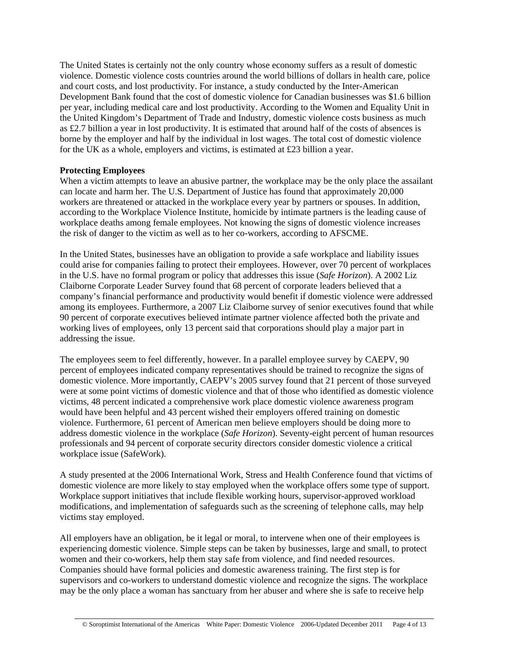The United States is certainly not the only country whose economy suffers as a result of domestic violence. Domestic violence costs countries around the world billions of dollars in health care, police and court costs, and lost productivity. For instance, a study conducted by the Inter-American Development Bank found that the cost of domestic violence for Canadian businesses was \$1.6 billion per year, including medical care and lost productivity. According to the Women and Equality Unit in the United Kingdom's Department of Trade and Industry, domestic violence costs business as much as £2.7 billion a year in lost productivity. It is estimated that around half of the costs of absences is borne by the employer and half by the individual in lost wages. The total cost of domestic violence for the UK as a whole, employers and victims, is estimated at £23 billion a year.

## **Protecting Employees**

When a victim attempts to leave an abusive partner, the workplace may be the only place the assailant can locate and harm her. The U.S. Department of Justice has found that approximately 20,000 workers are threatened or attacked in the workplace every year by partners or spouses. In addition, according to the Workplace Violence Institute, homicide by intimate partners is the leading cause of workplace deaths among female employees. Not knowing the signs of domestic violence increases the risk of danger to the victim as well as to her co-workers, according to AFSCME.

In the United States, businesses have an obligation to provide a safe workplace and liability issues could arise for companies failing to protect their employees. However, over 70 percent of workplaces in the U.S. have no formal program or policy that addresses this issue (*Safe Horizon*). A 2002 Liz Claiborne Corporate Leader Survey found that 68 percent of corporate leaders believed that a company's financial performance and productivity would benefit if domestic violence were addressed among its employees. Furthermore, a 2007 Liz Claiborne survey of senior executives found that while 90 percent of corporate executives believed intimate partner violence affected both the private and working lives of employees, only 13 percent said that corporations should play a major part in addressing the issue.

The employees seem to feel differently, however. In a parallel employee survey by CAEPV, 90 percent of employees indicated company representatives should be trained to recognize the signs of domestic violence. More importantly, CAEPV's 2005 survey found that 21 percent of those surveyed were at some point victims of domestic violence and that of those who identified as domestic violence victims, 48 percent indicated a comprehensive work place domestic violence awareness program would have been helpful and 43 percent wished their employers offered training on domestic violence. Furthermore, 61 percent of American men believe employers should be doing more to address domestic violence in the workplace (*Safe Horizon*). Seventy-eight percent of human resources professionals and 94 percent of corporate security directors consider domestic violence a critical workplace issue (SafeWork).

A study presented at the 2006 International Work, Stress and Health Conference found that victims of domestic violence are more likely to stay employed when the workplace offers some type of support. Workplace support initiatives that include flexible working hours, supervisor-approved workload modifications, and implementation of safeguards such as the screening of telephone calls, may help victims stay employed.

All employers have an obligation, be it legal or moral, to intervene when one of their employees is experiencing domestic violence. Simple steps can be taken by businesses, large and small, to protect women and their co-workers, help them stay safe from violence, and find needed resources. Companies should have formal policies and domestic awareness training. The first step is for supervisors and co-workers to understand domestic violence and recognize the signs. The workplace may be the only place a woman has sanctuary from her abuser and where she is safe to receive help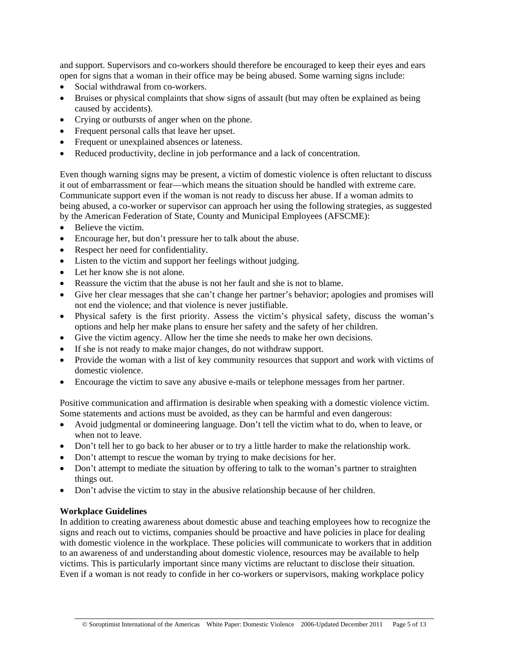and support. Supervisors and co-workers should therefore be encouraged to keep their eyes and ears open for signs that a woman in their office may be being abused. Some warning signs include:

- Social withdrawal from co-workers.
- Bruises or physical complaints that show signs of assault (but may often be explained as being caused by accidents).
- Crying or outbursts of anger when on the phone.
- Frequent personal calls that leave her upset.
- Frequent or unexplained absences or lateness.
- Reduced productivity, decline in job performance and a lack of concentration.

Even though warning signs may be present, a victim of domestic violence is often reluctant to discuss it out of embarrassment or fear—which means the situation should be handled with extreme care. Communicate support even if the woman is not ready to discuss her abuse. If a woman admits to being abused, a co-worker or supervisor can approach her using the following strategies, as suggested by the American Federation of State, County and Municipal Employees (AFSCME):

- Believe the victim.
- Encourage her, but don't pressure her to talk about the abuse.
- Respect her need for confidentiality.
- Listen to the victim and support her feelings without judging.
- Let her know she is not alone.
- Reassure the victim that the abuse is not her fault and she is not to blame.
- Give her clear messages that she can't change her partner's behavior; apologies and promises will not end the violence; and that violence is never justifiable.
- Physical safety is the first priority. Assess the victim's physical safety, discuss the woman's options and help her make plans to ensure her safety and the safety of her children.
- Give the victim agency. Allow her the time she needs to make her own decisions.
- If she is not ready to make major changes, do not withdraw support.
- Provide the woman with a list of key community resources that support and work with victims of domestic violence.
- Encourage the victim to save any abusive e-mails or telephone messages from her partner.

Positive communication and affirmation is desirable when speaking with a domestic violence victim. Some statements and actions must be avoided, as they can be harmful and even dangerous:

- Avoid judgmental or domineering language. Don't tell the victim what to do, when to leave, or when not to leave.
- Don't tell her to go back to her abuser or to try a little harder to make the relationship work.
- Don't attempt to rescue the woman by trying to make decisions for her.
- Don't attempt to mediate the situation by offering to talk to the woman's partner to straighten things out.
- Don't advise the victim to stay in the abusive relationship because of her children.

## **Workplace Guidelines**

In addition to creating awareness about domestic abuse and teaching employees how to recognize the signs and reach out to victims, companies should be proactive and have policies in place for dealing with domestic violence in the workplace. These policies will communicate to workers that in addition to an awareness of and understanding about domestic violence, resources may be available to help victims. This is particularly important since many victims are reluctant to disclose their situation. Even if a woman is not ready to confide in her co-workers or supervisors, making workplace policy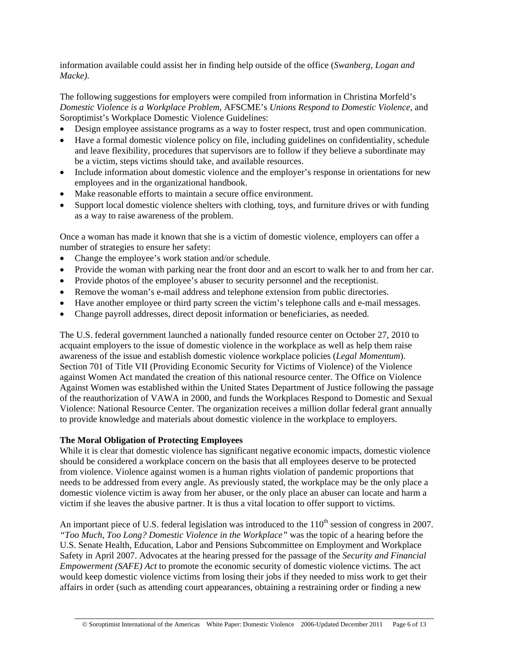information available could assist her in finding help outside of the office (*Swanberg, Logan and Macke).*

The following suggestions for employers were compiled from information in Christina Morfeld's *Domestic Violence is a Workplace Problem*, AFSCME's *Unions Respond to Domestic Violence*, and Soroptimist's Workplace Domestic Violence Guidelines:

- Design employee assistance programs as a way to foster respect, trust and open communication.
- Have a formal domestic violence policy on file, including guidelines on confidentiality, schedule and leave flexibility, procedures that supervisors are to follow if they believe a subordinate may be a victim, steps victims should take, and available resources.
- Include information about domestic violence and the employer's response in orientations for new employees and in the organizational handbook.
- Make reasonable efforts to maintain a secure office environment.
- Support local domestic violence shelters with clothing, toys, and furniture drives or with funding as a way to raise awareness of the problem.

Once a woman has made it known that she is a victim of domestic violence, employers can offer a number of strategies to ensure her safety:

- Change the employee's work station and/or schedule.
- Provide the woman with parking near the front door and an escort to walk her to and from her car.
- Provide photos of the employee's abuser to security personnel and the receptionist.
- Remove the woman's e-mail address and telephone extension from public directories.
- Have another employee or third party screen the victim's telephone calls and e-mail messages.
- Change payroll addresses, direct deposit information or beneficiaries, as needed.

The U.S. federal government launched a nationally funded resource center on October 27, 2010 to acquaint employers to the issue of domestic violence in the workplace as well as help them raise awareness of the issue and establish domestic violence workplace policies (*Legal Momentum*). Section 701 of Title VII (Providing Economic Security for Victims of Violence) of the Violence against Women Act mandated the creation of this national resource center. The Office on Violence Against Women was established within the United States Department of Justice following the passage of the reauthorization of VAWA in 2000, and funds the Workplaces Respond to Domestic and Sexual Violence: National Resource Center. The organization receives a million dollar federal grant annually to provide knowledge and materials about domestic violence in the workplace to employers.

## **The Moral Obligation of Protecting Employees**

While it is clear that domestic violence has significant negative economic impacts, domestic violence should be considered a workplace concern on the basis that all employees deserve to be protected from violence. Violence against women is a human rights violation of pandemic proportions that needs to be addressed from every angle. As previously stated, the workplace may be the only place a domestic violence victim is away from her abuser, or the only place an abuser can locate and harm a victim if she leaves the abusive partner. It is thus a vital location to offer support to victims.

An important piece of U.S. federal legislation was introduced to the  $110<sup>th</sup>$  session of congress in 2007. *"Too Much, Too Long? Domestic Violence in the Workplace"* was the topic of a hearing before the U.S. Senate Health, Education, Labor and Pensions Subcommittee on Employment and Workplace Safety in April 2007. Advocates at the hearing pressed for the passage of the *Security and Financial Empowerment (SAFE) Act* to promote the economic security of domestic violence victims. The act would keep domestic violence victims from losing their jobs if they needed to miss work to get their affairs in order (such as attending court appearances, obtaining a restraining order or finding a new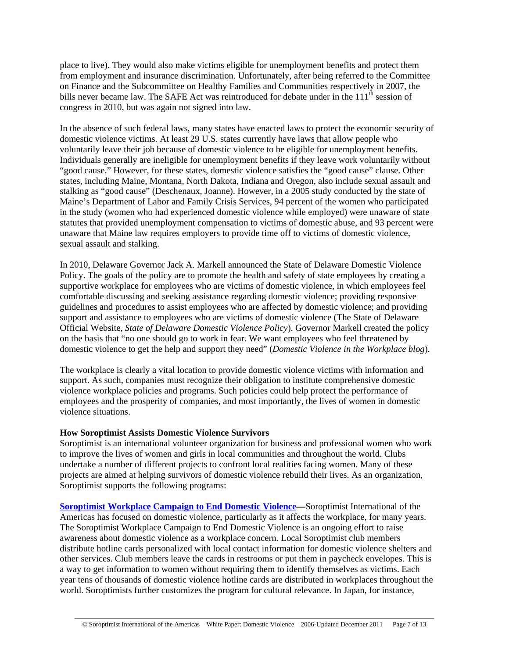place to live). They would also make victims eligible for unemployment benefits and protect them from employment and insurance discrimination. Unfortunately, after being referred to the Committee on Finance and the Subcommittee on Healthy Families and Communities respectively in 2007, the bills never became law. The SAFE Act was reintroduced for debate under in the 111<sup>th</sup> session of congress in 2010, but was again not signed into law.

In the absence of such federal laws, many states have enacted laws to protect the economic security of domestic violence victims. At least 29 U.S. states currently have laws that allow people who voluntarily leave their job because of domestic violence to be eligible for unemployment benefits. Individuals generally are ineligible for unemployment benefits if they leave work voluntarily without "good cause." However, for these states, domestic violence satisfies the "good cause" clause. Other states, including Maine, Montana, North Dakota, Indiana and Oregon, also include sexual assault and stalking as "good cause" (Deschenaux, Joanne). However, in a 2005 study conducted by the state of Maine's Department of Labor and Family Crisis Services, 94 percent of the women who participated in the study (women who had experienced domestic violence while employed) were unaware of state statutes that provided unemployment compensation to victims of domestic abuse, and 93 percent were unaware that Maine law requires employers to provide time off to victims of domestic violence, sexual assault and stalking.

In 2010, Delaware Governor Jack A. Markell announced the State of Delaware Domestic Violence Policy. The goals of the policy are to promote the health and safety of state employees by creating a supportive workplace for employees who are victims of domestic violence, in which employees feel comfortable discussing and seeking assistance regarding domestic violence; providing responsive guidelines and procedures to assist employees who are affected by domestic violence; and providing support and assistance to employees who are victims of domestic violence (The State of Delaware Official Website, *State of Delaware Domestic Violence Policy*). Governor Markell created the policy on the basis that "no one should go to work in fear. We want employees who feel threatened by domestic violence to get the help and support they need" (*Domestic Violence in the Workplace blog*).

The workplace is clearly a vital location to provide domestic violence victims with information and support. As such, companies must recognize their obligation to institute comprehensive domestic violence workplace policies and programs. Such policies could help protect the performance of employees and the prosperity of companies, and most importantly, the lives of women in domestic violence situations.

## **How Soroptimist Assists Domestic Violence Survivors**

Soroptimist is an international volunteer organization for business and professional women who work to improve the lives of women and girls in local communities and throughout the world. Clubs undertake a number of different projects to confront local realities facing women. Many of these projects are aimed at helping survivors of domestic violence rebuild their lives. As an organization, Soroptimist supports the following programs:

**[Soroptimist Workplace Campaign to End Domestic Violence—](http://www.soroptimist.org/WorkplaceCampaign.html)**Soroptimist International of the Americas has focused on domestic violence, particularly as it affects the workplace, for many years. The Soroptimist Workplace Campaign to End Domestic Violence is an ongoing effort to raise awareness about domestic violence as a workplace concern. Local Soroptimist club members distribute hotline cards personalized with local contact information for domestic violence shelters and other services. Club members leave the cards in restrooms or put them in paycheck envelopes. This is a way to get information to women without requiring them to identify themselves as victims. Each year tens of thousands of domestic violence hotline cards are distributed in workplaces throughout the world. Soroptimists further customizes the program for cultural relevance. In Japan, for instance,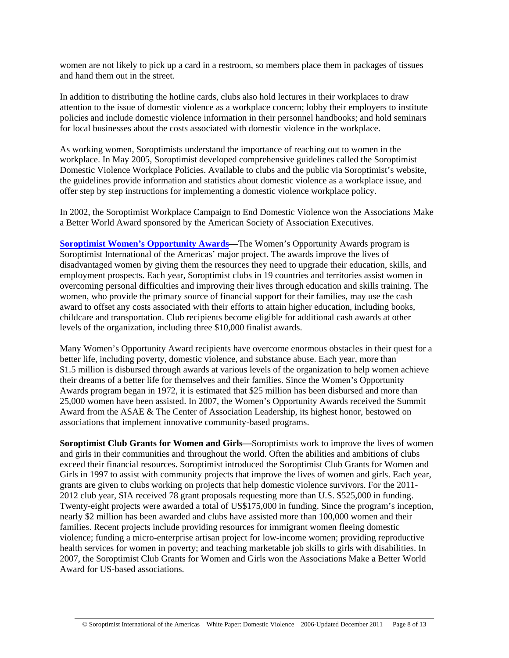women are not likely to pick up a card in a restroom, so members place them in packages of tissues and hand them out in the street.

In addition to distributing the hotline cards, clubs also hold lectures in their workplaces to draw attention to the issue of domestic violence as a workplace concern; lobby their employers to institute policies and include domestic violence information in their personnel handbooks; and hold seminars for local businesses about the costs associated with domestic violence in the workplace.

As working women, Soroptimists understand the importance of reaching out to women in the workplace. In May 2005, Soroptimist developed comprehensive guidelines called the Soroptimist Domestic Violence Workplace Policies. Available to clubs and the public via Soroptimist's website, the guidelines provide information and statistics about domestic violence as a workplace issue, and offer step by step instructions for implementing a domestic violence workplace policy.

In 2002, the Soroptimist Workplace Campaign to End Domestic Violence won the Associations Make a Better World Award sponsored by the American Society of Association Executives.

**[Soroptimist Women's Opportunity Awards—](http://www.soroptimist.org/awards/awards.html)The Women's Opportunity Awards program is** Soroptimist International of the Americas' major project. The awards improve the lives of disadvantaged women by giving them the resources they need to upgrade their education, skills, and employment prospects. Each year, Soroptimist clubs in 19 countries and territories assist women in overcoming personal difficulties and improving their lives through education and skills training. The women, who provide the primary source of financial support for their families, may use the cash award to offset any costs associated with their efforts to attain higher education, including books, childcare and transportation. Club recipients become eligible for additional cash awards at other levels of the organization, including three \$10,000 finalist awards.

Many Women's Opportunity Award recipients have overcome enormous obstacles in their quest for a better life, including poverty, domestic violence, and substance abuse. Each year, more than \$1.5 million is disbursed through awards at various levels of the organization to help women achieve their dreams of a better life for themselves and their families. Since the Women's Opportunity Awards program began in 1972, it is estimated that \$25 million has been disbursed and more than 25,000 women have been assisted. In 2007, the Women's Opportunity Awards received the Summit Award from the ASAE & The Center of Association Leadership, its highest honor, bestowed on associations that implement innovative community-based programs.

**Soroptimist Club Grants for Women and Girls—**Soroptimists work to improve the lives of women and girls in their communities and throughout the world. Often the abilities and ambitions of clubs exceed their financial resources. Soroptimist introduced the Soroptimist Club Grants for Women and Girls in 1997 to assist with community projects that improve the lives of women and girls. Each year, grants are given to clubs working on projects that help domestic violence survivors. For the 2011- 2012 club year, SIA received 78 grant proposals requesting more than U.S. \$525,000 in funding. Twenty-eight projects were awarded a total of US\$175,000 in funding. Since the program's inception, nearly \$2 million has been awarded and clubs have assisted more than 100,000 women and their families. Recent projects include providing resources for immigrant women fleeing domestic violence; funding a micro-enterprise artisan project for low-income women; providing reproductive health services for women in poverty; and teaching marketable job skills to girls with disabilities. In 2007, the Soroptimist Club Grants for Women and Girls won the Associations Make a Better World Award for US-based associations.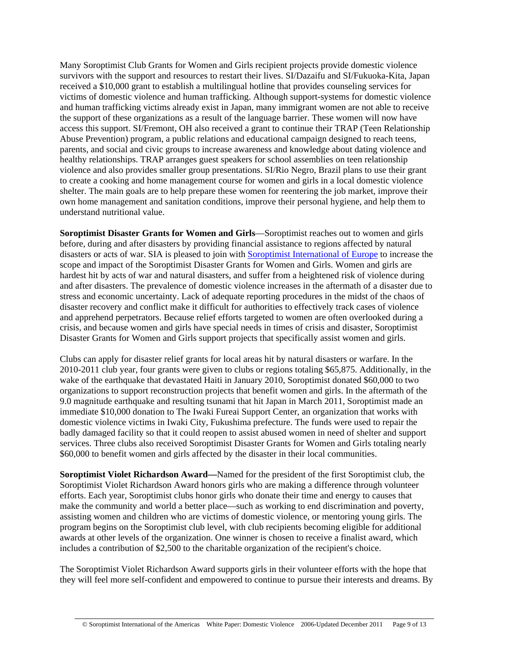Many Soroptimist Club Grants for Women and Girls recipient projects provide domestic violence survivors with the support and resources to restart their lives. SI/Dazaifu and SI/Fukuoka-Kita, Japan received a \$10,000 grant to establish a multilingual hotline that provides counseling services for victims of domestic violence and human trafficking. Although support-systems for domestic violence and human trafficking victims already exist in Japan, many immigrant women are not able to receive the support of these organizations as a result of the language barrier. These women will now have access this support. SI/Fremont, OH also received a grant to continue their TRAP (Teen Relationship Abuse Prevention) program, a public relations and educational campaign designed to reach teens, parents, and social and civic groups to increase awareness and knowledge about dating violence and healthy relationships. TRAP arranges guest speakers for school assemblies on teen relationship violence and also provides smaller group presentations. SI/Rio Negro, Brazil plans to use their grant to create a cooking and home management course for women and girls in a local domestic violence shelter. The main goals are to help prepare these women for reentering the job market, improve their own home management and sanitation conditions, improve their personal hygiene, and help them to understand nutritional value.

**Soroptimist Disaster Grants for Women and Girls**—Soroptimist reaches out to women and girls before, during and after disasters by providing financial assistance to regions affected by natural disasters or acts of war. SIA is pleased to join with [Soroptimist International of Europe](http://www.soroptimisteurope.org/) to increase the scope and impact of the Soroptimist Disaster Grants for Women and Girls. Women and girls are hardest hit by acts of war and natural disasters, and suffer from a heightened risk of violence during and after disasters. The prevalence of domestic violence increases in the aftermath of a disaster due to stress and economic uncertainty. Lack of adequate reporting procedures in the midst of the chaos of disaster recovery and conflict make it difficult for authorities to effectively track cases of violence and apprehend perpetrators. Because relief efforts targeted to women are often overlooked during a crisis, and because women and girls have special needs in times of crisis and disaster, Soroptimist Disaster Grants for Women and Girls support projects that specifically assist women and girls.

Clubs can apply for disaster relief grants for local areas hit by natural disasters or warfare. In the 2010-2011 club year, four grants were given to clubs or regions totaling \$65,875. Additionally, in the wake of the earthquake that devastated Haiti in January 2010, Soroptimist donated \$60,000 to two organizations to support reconstruction projects that benefit women and girls. In the aftermath of the 9.0 magnitude earthquake and resulting tsunami that hit Japan in March 2011, Soroptimist made an immediate \$10,000 donation to The Iwaki Fureai Support Center, an organization that works with domestic violence victims in Iwaki City, Fukushima prefecture. The funds were used to repair the badly damaged facility so that it could reopen to assist abused women in need of shelter and support services. Three clubs also received Soroptimist Disaster Grants for Women and Girls totaling nearly \$60,000 to benefit women and girls affected by the disaster in their local communities.

**Soroptimist Violet Richardson Award—**Named for the president of the first Soroptimist club, the Soroptimist Violet Richardson Award honors girls who are making a difference through volunteer efforts. Each year, Soroptimist clubs honor girls who donate their time and energy to causes that make the community and world a better place—such as working to end discrimination and poverty, assisting women and children who are victims of domestic violence, or mentoring young girls. The program begins on the Soroptimist club level, with club recipients becoming eligible for additional awards at other levels of the organization. One winner is chosen to receive a finalist award, which includes a contribution of \$2,500 to the charitable organization of the recipient's choice.

The Soroptimist Violet Richardson Award supports girls in their volunteer efforts with the hope that they will feel more self-confident and empowered to continue to pursue their interests and dreams. By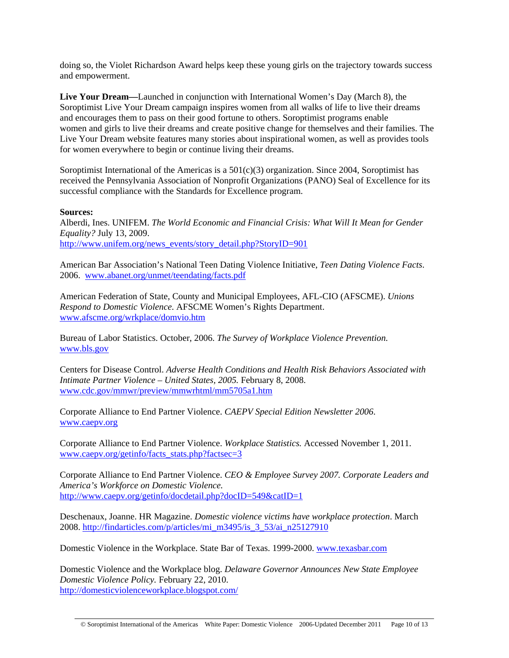doing so, the Violet Richardson Award helps keep these young girls on the trajectory towards success and empowerment.

**Live Your Dream—**Launched in conjunction with International Women's Day (March 8), the Soroptimist Live Your Dream campaign inspires women from all walks of life to live their dreams and encourages them to pass on their good fortune to others. Soroptimist programs enable women and girls to live their dreams and create positive change for themselves and their families. The Live Your Dream website features many stories about inspirational women, as well as provides tools for women everywhere to begin or continue living their dreams.

Soroptimist International of the Americas is a  $501(c)(3)$  organization. Since 2004, Soroptimist has received the Pennsylvania Association of Nonprofit Organizations (PANO) Seal of Excellence for its successful compliance with the Standards for Excellence program.

#### **Sources:**

Alberdi, Ines. UNIFEM. *The World Economic and Financial Crisis: What Will It Mean for Gender Equality?* July 13, 2009. [http://www.unifem.org/news\\_events/story\\_detail.php?StoryID=901](http://www.unifem.org/news_events/story_detail.php?StoryID=901)

American Bar Association's National Teen Dating Violence Initiative, *Teen Dating Violence Facts*. 2006. [www.abanet.org/unmet/teendating/facts.pdf](http://www.abanet.org/unmet/teendating/facts.pdf) 

American Federation of State, County and Municipal Employees, AFL-CIO (AFSCME). *Unions Respond to Domestic Violence*. AFSCME Women's Rights Department. [www.afscme.org/wrkplace/domvio.htm](http://www.afscme.org/wrkplace/domvio.htm) 

Bureau of Labor Statistics. October, 2006. *The Survey of Workplace Violence Prevention.* [www.bls.gov](http://www.bls.gov/)

Centers for Disease Control. *Adverse Health Conditions and Health Risk Behaviors Associated with Intimate Partner Violence – United States, 2005.* February 8, 2008. [www.cdc.gov/mmwr/preview/mmwrhtml/mm5705a1.htm](http://www.cdc.gov/mmwr/preview/mmwrhtml/mm5705a1.htm)

Corporate Alliance to End Partner Violence. *CAEPV Special Edition Newsletter 2006*. [www.caepv.org](http://www.caepv.org/) 

Corporate Alliance to End Partner Violence. *Workplace Statistics.* Accessed November 1, 2011. [www.caepv.org/getinfo/facts\\_stats.php?factsec=3](http://www.caepv.org/getinfo/facts_stats.php?factsec=3)

Corporate Alliance to End Partner Violence. *CEO & Employee Survey 2007. Corporate Leaders and America's Workforce on Domestic Violence.*  <http://www.caepv.org/getinfo/docdetail.php?docID=549&catID=1>

Deschenaux, Joanne. HR Magazine. *Domestic violence victims have workplace protection*. March 2008. [http://findarticles.com/p/articles/mi\\_m3495/is\\_3\\_53/ai\\_n25127910](http://findarticles.com/p/articles/mi_m3495/is_3_53/ai_n25127910)

Domestic Violence in the Workplace. State Bar of Texas. 1999-2000. [www.texasbar.com](http://www.texasbar.com/) 

Domestic Violence and the Workplace blog. *Delaware Governor Announces New State Employee Domestic Violence Policy.* February 22, 2010. <http://domesticviolenceworkplace.blogspot.com/>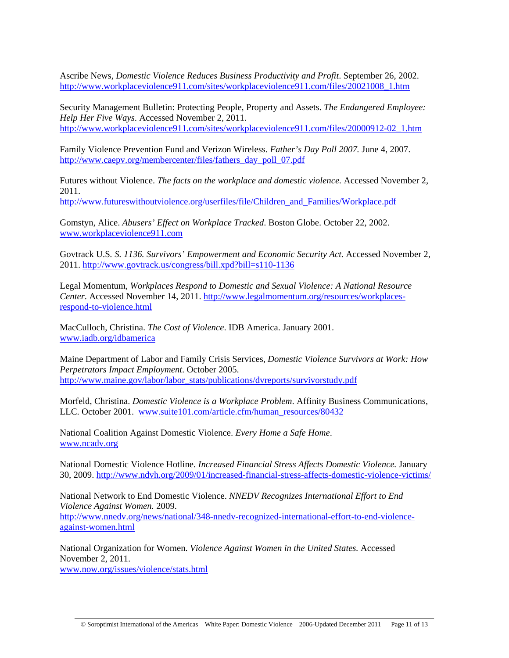Ascribe News, *Domestic Violence Reduces Business Productivity and Profit*. September 26, 2002. [http://www.workplaceviolence911.com/sites/workplaceviolence911.com/files/20021008\\_1.htm](http://www.workplaceviolence911.com/sites/workplaceviolence911.com/files/20021008_1.htm) 

Security Management Bulletin: Protecting People, Property and Assets. *The Endangered Employee: Help Her Five Ways*. Accessed November 2, 2011. [http://www.workplaceviolence911.com/sites/workplaceviolence911.com/files/20000912-02\\_1.htm](http://www.workplaceviolence911.com/sites/workplaceviolence911.com/files/20000912-02_1.htm) 

Family Violence Prevention Fund and Verizon Wireless. *Father's Day Poll 2007.* June 4, 2007. [http://www.caepv.org/membercenter/files/fathers\\_day\\_poll\\_07.pdf](http://www.caepv.org/membercenter/files/fathers_day_poll_07.pdf)

Futures without Violence. *The facts on the workplace and domestic violence.* Accessed November 2, 2011.

[http://www.futureswithoutviolence.org/userfiles/file/Children\\_and\\_Families/Workplace.pdf](http://www.futureswithoutviolence.org/userfiles/file/Children_and_Families/Workplace.pdf)

Gomstyn, Alice. *Abusers' Effect on Workplace Tracked*. Boston Globe. October 22, 2002. [www.workplaceviolence911.com](http://www.workplaceviolence911.com/) 

Govtrack U.S*. S. 1136. Survivors' Empowerment and Economic Security Act.* Accessed November 2, 2011.<http://www.govtrack.us/congress/bill.xpd?bill=s110-1136>

Legal Momentum, *Workplaces Respond to Domestic and Sexual Violence: A National Resource Center*. Accessed November 14, 2011. [http://www.legalmomentum.org/resources/workplaces](http://www.legalmomentum.org/resources/workplaces-respond-to-violence.html)[respond-to-violence.html](http://www.legalmomentum.org/resources/workplaces-respond-to-violence.html) 

MacCulloch, Christina. *The Cost of Violence*. IDB America. January 2001. [www.iadb.org/idbamerica](http://www.iadb.org/idbamerica) 

Maine Department of Labor and Family Crisis Services, *Domestic Violence Survivors at Work: How Perpetrators Impact Employment*. October 2005. [http://www.maine.gov/labor/labor\\_stats/publications/dvreports/survivorstudy.pdf](http://www.maine.gov/labor/labor_stats/publications/dvreports/survivorstudy.pdf) 

Morfeld, Christina. *Domestic Violence is a Workplace Problem*. Affinity Business Communications, LLC. October 2001. [www.suite101.com/article.cfm/human\\_resources/80432](http://www.suite101.com/article.cfm/human_resources/80432)

National Coalition Against Domestic Violence. *Every Home a Safe Home*. [www.ncadv.org](http://www.ncadv.org/)

National Domestic Violence Hotline. *Increased Financial Stress Affects Domestic Violence.* January 30, 2009.<http://www.ndvh.org/2009/01/increased-financial-stress-affects-domestic-violence-victims/>

National Network to End Domestic Violence. *NNEDV Recognizes International Effort to End Violence Against Women.* 2009. [http://www.nnedv.org/news/national/348-nnedv-recognized-international-effort-to-end-violence](http://www.nnedv.org/news/national/348-nnedv-recognized-international-effort-to-end-violence-against-women.html)[against-women.html](http://www.nnedv.org/news/national/348-nnedv-recognized-international-effort-to-end-violence-against-women.html)

National Organization for Women. *Violence Against Women in the United States.* Accessed November 2, 2011. [www.now.org/issues/violence/stats.html](http://www.now.org/issues/violence/stats.html)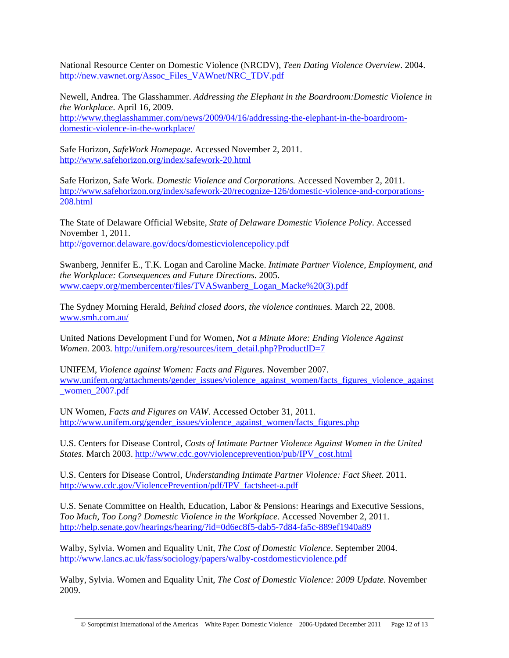National Resource Center on Domestic Violence (NRCDV), *Teen Dating Violence Overview*. 2004. [http://new.vawnet.org/Assoc\\_Files\\_VAWnet/NRC\\_TDV.pdf](http://new.vawnet.org/Assoc_Files_VAWnet/NRC_TDV.pdf) 

Newell, Andrea. The Glasshammer. *Addressing the Elephant in the Boardroom:Domestic Violence in the Workplace*. April 16, 2009. [http://www.theglasshammer.com/news/2009/04/16/addressing-the-elephant-in-the-boardroom](http://www.theglasshammer.com/news/2009/04/16/addressing-the-elephant-in-the-boardroom-domestic-violence-in-the-workplace/)[domestic-violence-in-the-workplace/](http://www.theglasshammer.com/news/2009/04/16/addressing-the-elephant-in-the-boardroom-domestic-violence-in-the-workplace/)

Safe Horizon, *SafeWork Homepage*. Accessed November 2, 2011. <http://www.safehorizon.org/index/safework-20.html>

Safe Horizon, Safe Work*. Domestic Violence and Corporations.* Accessed November 2, 2011. [http://www.safehorizon.org/index/safework-20/recognize-126/domestic-violence-and-corporations-](http://www.safehorizon.org/index/safework-20/recognize-126/domestic-violence-and-corporations-208.html)[208.html](http://www.safehorizon.org/index/safework-20/recognize-126/domestic-violence-and-corporations-208.html)

The State of Delaware Official Website, *State of Delaware Domestic Violence Policy*. Accessed November 1, 2011. <http://governor.delaware.gov/docs/domesticviolencepolicy.pdf>

Swanberg, Jennifer E., T.K. Logan and Caroline Macke. *Intimate Partner Violence, Employment, and the Workplace: Consequences and Future Directions.* 2005. [www.caepv.org/membercenter/files/TVASwanberg\\_Logan\\_Macke%20\(3\).pdf](http://www.caepv.org/membercenter/files/TVASwanberg_Logan_Macke%20(3).pdf) 

The Sydney Morning Herald, *Behind closed doors, the violence continues.* March 22, 2008. [www.smh.com.au/](http://www.smh.com.au/)

United Nations Development Fund for Women, *Not a Minute More: Ending Violence Against Women.* 2003. http://unifem.org/resources/item\_detail.php?ProductID=7

UNIFEM, *Violence against Women: Facts and Figures.* November 2007. [www.unifem.org/attachments/gender\\_issues/violence\\_against\\_women/facts\\_figures\\_violence\\_against](http://www.unifem.org/attachments/gender_issues/violence_against_women/facts_figures_violence_against_women_2007.pdf) [\\_women\\_2007.pdf](http://www.unifem.org/attachments/gender_issues/violence_against_women/facts_figures_violence_against_women_2007.pdf)

UN Women, *Facts and Figures on VAW*. Accessed October 31, 2011. [http://www.unifem.org/gender\\_issues/violence\\_against\\_women/facts\\_figures.php](http://www.unifem.org/gender_issues/violence_against_women/facts_figures.php)

U.S. Centers for Disease Control, *Costs of Intimate Partner Violence Against Women in the United States.* March 2003. [http://www.cdc.gov/violenceprevention/pub/IPV\\_cost.html](http://www.cdc.gov/violenceprevention/pub/IPV_cost.html) 

U.S. Centers for Disease Control, *Understanding Intimate Partner Violence: Fact Sheet.* 2011. [http://www.cdc.gov/ViolencePrevention/pdf/IPV\\_factsheet-a.pdf](http://www.cdc.gov/ViolencePrevention/pdf/IPV_factsheet-a.pdf) 

U.S. Senate Committee on Health, Education, Labor & Pensions: Hearings and Executive Sessions, *Too Much, Too Long? Domestic Violence in the Workplace.* Accessed November 2, 2011. <http://help.senate.gov/hearings/hearing/?id=0d6ec8f5-dab5-7d84-fa5c-889ef1940a89>

Walby, Sylvia. Women and Equality Unit, *The Cost of Domestic Violence*. September 2004. <http://www.lancs.ac.uk/fass/sociology/papers/walby-costdomesticviolence.pdf>

Walby, Sylvia. Women and Equality Unit, *The Cost of Domestic Violence: 2009 Update.* November 2009.